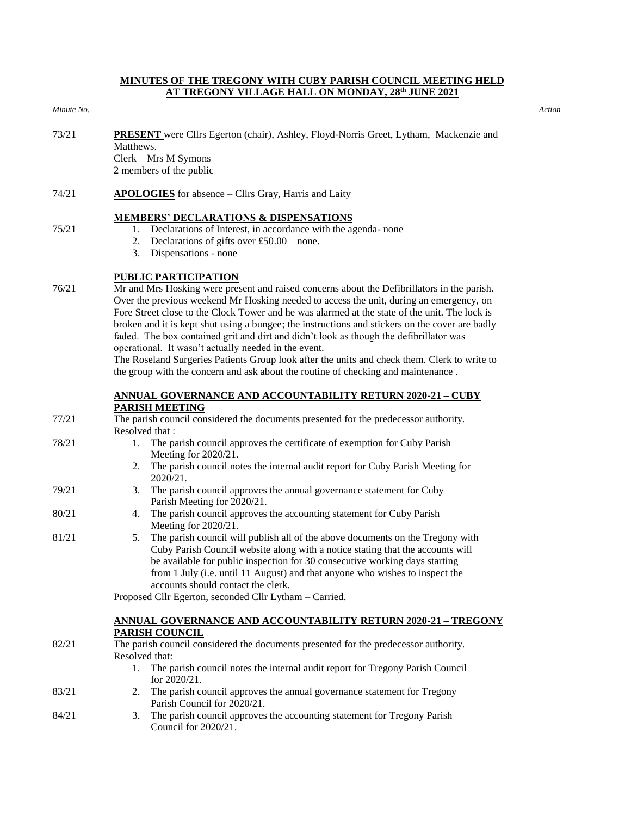## **MINUTES OF THE TREGONY WITH CUBY PARISH COUNCIL MEETING HELD AT TREGONY VILLAGE HALL ON MONDAY, 28th JUNE 2021**

#### *Minute No. Action*

75/21

- 73/21 **PRESENT** were Cllrs Egerton (chair), Ashley, Floyd-Norris Greet, Lytham, Mackenzie and Matthews. Clerk – Mrs M Symons 2 members of the public
- 74/21 **APOLOGIES** for absence Cllrs Gray, Harris and Laity

# **MEMBERS' DECLARATIONS & DISPENSATIONS**

- 1. Declarations of Interest, in accordance with the agenda- none
- 2. Declarations of gifts over  $£50.00 -$  none.
- 3. Dispensations none

# **PUBLIC PARTICIPATION**

76/21 Mr and Mrs Hosking were present and raised concerns about the Defibrillators in the parish. Over the previous weekend Mr Hosking needed to access the unit, during an emergency, on Fore Street close to the Clock Tower and he was alarmed at the state of the unit. The lock is broken and it is kept shut using a bungee; the instructions and stickers on the cover are badly faded. The box contained grit and dirt and didn't look as though the defibrillator was operational. It wasn't actually needed in the event.

The Roseland Surgeries Patients Group look after the units and check them. Clerk to write to the group with the concern and ask about the routine of checking and maintenance .

# **ANNUAL GOVERNANCE AND ACCOUNTABILITY RETURN 2020-21 – CUBY PARISH MEETING**

- 77/21 78/21 79/21 80/21 81/21 The parish council considered the documents presented for the predecessor authority. Resolved that : 1. The parish council approves the certificate of exemption for Cuby Parish Meeting for 2020/21. 2. The parish council notes the internal audit report for Cuby Parish Meeting for 2020/21. 3. The parish council approves the annual governance statement for Cuby Parish Meeting for 2020/21. 4. The parish council approves the accounting statement for Cuby Parish Meeting for 2020/21. 5. The parish council will publish all of the above documents on the Tregony with Cuby Parish Council website along with a notice stating that the accounts will be available for public inspection for 30 consecutive working days starting from 1 July (i.e. until 11 August) and that anyone who wishes to inspect the accounts should contact the clerk. Proposed Cllr Egerton, seconded Cllr Lytham – Carried. 82/21 **ANNUAL GOVERNANCE AND ACCOUNTABILITY RETURN 2020-21 – TREGONY PARISH COUNCIL** The parish council considered the documents presented for the predecessor authority. Resolved that: 1. The parish council notes the internal audit report for Tregony Parish Council for 2020/21.
	- 83/21 2. The parish council approves the annual governance statement for Tregony Parish Council for 2020/21.
	- 84/21 3. The parish council approves the accounting statement for Tregony Parish Council for 2020/21.